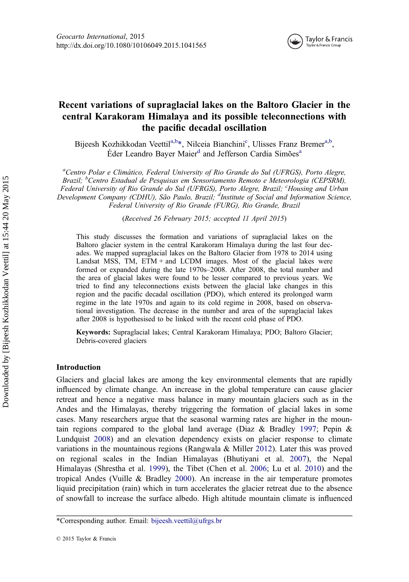

## Recent variations of supraglacial lakes on the Baltoro Glacier in the central Karakoram Himalaya and its possible teleconnections with the pacific decadal oscillation

Bijeesh Kozhikkodan Veettil<sup>a,b</sup>\*, Nilceia Bianchini<sup>c</sup>, Ulisses Franz Bremer<sup>a,b</sup>, Éder Leandro Bayer Maier<sup>d</sup> and Jefferson Cardia Simões<sup>a</sup>

<sup>a</sup>Centro Polar e Climático, Federal University of Rio Grande do Sul (UFRGS), Porto Alegre, Brazil; <sup>b</sup>Centro Estadual de Pesquisas em Sensoriamento Remoto e Meteorologia (CEPSRM), Federal University of Rio Grande do Sul (UFRGS), Porto Alegre, Brazil; <sup>c</sup>Housing and Urban Development Company (CDHU), São Paulo, Brazil; <sup>d</sup>Institute of Social and Information Science, Federal University of Rio Grande (FURG), Rio Grande, Brazil

(Received 26 February 2015; accepted 11 April 2015)

This study discusses the formation and variations of supraglacial lakes on the Baltoro glacier system in the central Karakoram Himalaya during the last four decades. We mapped supraglacial lakes on the Baltoro Glacier from 1978 to 2014 using Landsat MSS,  $TM$ ,  $ETM +$  and  $LCDM$  images. Most of the glacial lakes were formed or expanded during the late 1970s–2008. After 2008, the total number and the area of glacial lakes were found to be lesser compared to previous years. We tried to find any teleconnections exists between the glacial lake changes in this region and the pacific decadal oscillation (PDO), which entered its prolonged warm regime in the late 1970s and again to its cold regime in 2008, based on observational investigation. The decrease in the number and area of the supraglacial lakes after 2008 is hypothesised to be linked with the recent cold phase of PDO.

Keywords: Supraglacial lakes; Central Karakoram Himalaya; PDO; Baltoro Glacier; Debris-covered glaciers

#### Introduction

Glaciers and glacial lakes are among the key environmental elements that are rapidly influenced by climate change. An increase in the global temperature can cause glacier retreat and hence a negative mass balance in many mountain glaciers such as in the Andes and the Himalayas, thereby triggering the formation of glacial lakes in some cases. Many researchers argue that the seasonal warming rates are higher in the mountain regions compared to the global land average (Diaz & Bradley [1997;](#page-9-0) Pepin & Lundquist [2008](#page-10-0)) and an elevation dependency exists on glacier response to climate variations in the mountainous regions (Rangwala & Miller [2012](#page-10-0)). Later this was proved on regional scales in the Indian Himalayas (Bhutiyani et al. [2007\)](#page-9-0), the Nepal Himalayas (Shrestha et al. [1999\)](#page-10-0), the Tibet (Chen et al. [2006;](#page-9-0) Lu et al. [2010\)](#page-10-0) and the tropical Andes (Vuille & Bradley [2000](#page-10-0)). An increase in the air temperature promotes liquid precipitation (rain) which in turn accelerates the glacier retreat due to the absence of snowfall to increase the surface albedo. High altitude mountain climate is influenced

<sup>\*</sup>Corresponding author. Email: [bijeesh.veettil@ufrgs.br](mailto:bijeesh.veettil@ufrgs.br)

<sup>© 2015</sup> Taylor & Francis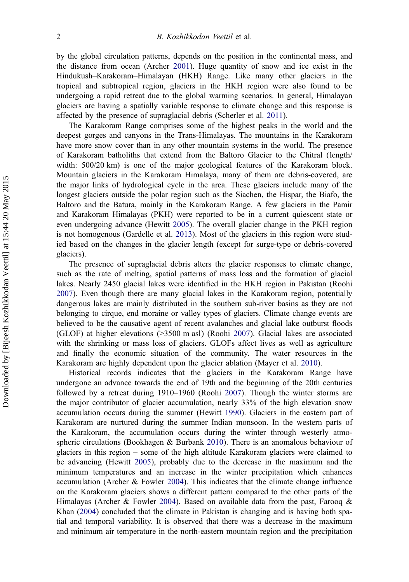by the global circulation patterns, depends on the position in the continental mass, and the distance from ocean (Archer [2001](#page-9-0)). Huge quantity of snow and ice exist in the Hindukush–Karakoram–Himalayan (HKH) Range. Like many other glaciers in the tropical and subtropical region, glaciers in the HKH region were also found to be undergoing a rapid retreat due to the global warming scenarios. In general, Himalayan glaciers are having a spatially variable response to climate change and this response is affected by the presence of supraglacial debris (Scherler et al. [2011\)](#page-10-0).

The Karakoram Range comprises some of the highest peaks in the world and the deepest gorges and canyons in the Trans-Himalayas. The mountains in the Karakoram have more snow cover than in any other mountain systems in the world. The presence of Karakoram batholiths that extend from the Baltoro Glacier to the Chitral (length/ width: 500/20 km) is one of the major geological features of the Karakoram block. Mountain glaciers in the Karakoram Himalaya, many of them are debris-covered, are the major links of hydrological cycle in the area. These glaciers include many of the longest glaciers outside the polar region such as the Siachen, the Hispar, the Biafo, the Baltoro and the Batura, mainly in the Karakoram Range. A few glaciers in the Pamir and Karakoram Himalayas (PKH) were reported to be in a current quiescent state or even undergoing advance (Hewitt [2005\)](#page-9-0). The overall glacier change in the PKH region is not homogenous (Gardelle et al. [2013\)](#page-9-0). Most of the glaciers in this region were studied based on the changes in the glacier length (except for surge-type or debris-covered glaciers).

The presence of supraglacial debris alters the glacier responses to climate change, such as the rate of melting, spatial patterns of mass loss and the formation of glacial lakes. Nearly 2450 glacial lakes were identified in the HKH region in Pakistan (Roohi [2007\)](#page-10-0). Even though there are many glacial lakes in the Karakoram region, potentially dangerous lakes are mainly distributed in the southern sub-river basins as they are not belonging to cirque, end moraine or valley types of glaciers. Climate change events are believed to be the causative agent of recent avalanches and glacial lake outburst floods (GLOF) at higher elevations (>3500 m asl) (Roohi [2007\)](#page-10-0). Glacial lakes are associated with the shrinking or mass loss of glaciers. GLOFs affect lives as well as agriculture and finally the economic situation of the community. The water resources in the Karakoram are highly dependent upon the glacier ablation (Mayer et al. [2010](#page-10-0)).

Historical records indicates that the glaciers in the Karakoram Range have undergone an advance towards the end of 19th and the beginning of the 20th centuries followed by a retreat during 1910–1960 (Roohi [2007](#page-10-0)). Though the winter storms are the major contributor of glacier accumulation, nearly 33% of the high elevation snow accumulation occurs during the summer (Hewitt [1990](#page-9-0)). Glaciers in the eastern part of Karakoram are nurtured during the summer Indian monsoon. In the western parts of the Karakoram, the accumulation occurs during the winter through westerly atmospheric circulations (Bookhagen & Burbank [2010\)](#page-9-0). There is an anomalous behaviour of glaciers in this region – some of the high altitude Karakoram glaciers were claimed to be advancing (Hewitt [2005](#page-9-0)), probably due to the decrease in the maximum and the minimum temperatures and an increase in the winter precipitation which enhances accumulation (Archer  $\&$  Fowler [2004\)](#page-9-0). This indicates that the climate change influence on the Karakoram glaciers shows a different pattern compared to the other parts of the Himalayas (Archer & Fowler [2004](#page-9-0)). Based on available data from the past, Farooq & Khan [\(2004](#page-9-0)) concluded that the climate in Pakistan is changing and is having both spatial and temporal variability. It is observed that there was a decrease in the maximum and minimum air temperature in the north-eastern mountain region and the precipitation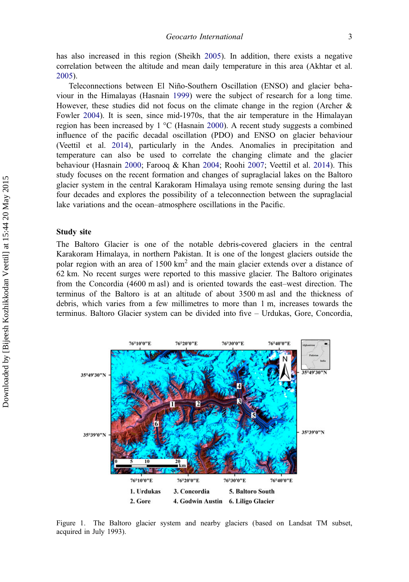<span id="page-2-0"></span>has also increased in this region (Sheikh [2005\)](#page-10-0). In addition, there exists a negative correlation between the altitude and mean daily temperature in this area (Akhtar et al. [2005\)](#page-9-0).

Teleconnections between El Niño-Southern Oscillation (ENSO) and glacier behaviour in the Himalayas (Hasnain [1999\)](#page-9-0) were the subject of research for a long time. However, these studies did not focus on the climate change in the region (Archer & Fowler [2004](#page-9-0)). It is seen, since mid-1970s, that the air temperature in the Himalayan region has been increased by 1 °C (Hasnain [2000\)](#page-9-0). A recent study suggests a combined influence of the pacific decadal oscillation (PDO) and ENSO on glacier behaviour (Veettil et al. [2014\)](#page-10-0), particularly in the Andes. Anomalies in precipitation and temperature can also be used to correlate the changing climate and the glacier behaviour (Hasnain [2000](#page-9-0); Farooq & Khan [2004;](#page-9-0) Roohi [2007;](#page-10-0) Veettil et al. [2014](#page-10-0)). This study focuses on the recent formation and changes of supraglacial lakes on the Baltoro glacier system in the central Karakoram Himalaya using remote sensing during the last four decades and explores the possibility of a teleconnection between the supraglacial lake variations and the ocean–atmosphere oscillations in the Pacific.

#### Study site

The Baltoro Glacier is one of the notable debris-covered glaciers in the central Karakoram Himalaya, in northern Pakistan. It is one of the longest glaciers outside the polar region with an area of  $1500 \text{ km}^2$  and the main glacier extends over a distance of 62 km. No recent surges were reported to this massive glacier. The Baltoro originates from the Concordia (4600 m asl) and is oriented towards the east–west direction. The terminus of the Baltoro is at an altitude of about 3500 m asl and the thickness of debris, which varies from a few millimetres to more than 1 m, increases towards the terminus. Baltoro Glacier system can be divided into five – Urdukas, Gore, Concordia,



Figure 1. The Baltoro glacier system and nearby glaciers (based on Landsat TM subset, acquired in July 1993).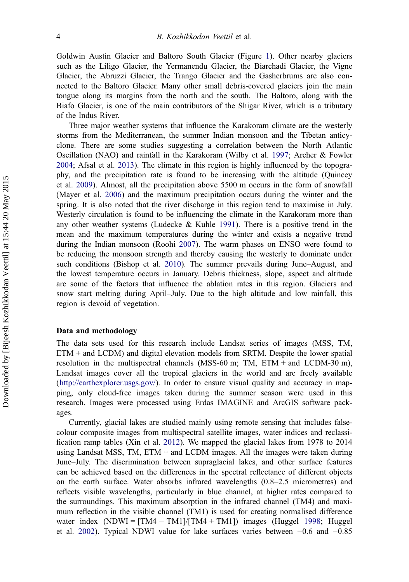Goldwin Austin Glacier and Baltoro South Glacier (Figure [1](#page-2-0)). Other nearby glaciers such as the Liligo Glacier, the Yermanendu Glacier, the Biarchadi Glacier, the Vigne Glacier, the Abruzzi Glacier, the Trango Glacier and the Gasherbrums are also connected to the Baltoro Glacier. Many other small debris-covered glaciers join the main tongue along its margins from the north and the south. The Baltoro, along with the Biafo Glacier, is one of the main contributors of the Shigar River, which is a tributary of the Indus River.

Three major weather systems that influence the Karakoram climate are the westerly storms from the Mediterranean, the summer Indian monsoon and the Tibetan anticyclone. There are some studies suggesting a correlation between the North Atlantic Oscillation (NAO) and rainfall in the Karakoram (Wilby et al. [1997](#page-10-0); Archer & Fowler [2004;](#page-9-0) Afsal et al. [2013](#page-9-0)). The climate in this region is highly influenced by the topography, and the precipitation rate is found to be increasing with the altitude (Quincey et al. [2009\)](#page-10-0). Almost, all the precipitation above 5500 m occurs in the form of snowfall (Mayer et al. [2006\)](#page-10-0) and the maximum precipitation occurs during the winter and the spring. It is also noted that the river discharge in this region tend to maximise in July. Westerly circulation is found to be influencing the climate in the Karakoram more than any other weather systems (Ludecke  $\&$  Kuhle [1991](#page-10-0)). There is a positive trend in the mean and the maximum temperatures during the winter and exists a negative trend during the Indian monsoon (Roohi [2007](#page-10-0)). The warm phases on ENSO were found to be reducing the monsoon strength and thereby causing the westerly to dominate under such conditions (Bishop et al. [2010\)](#page-9-0). The summer prevails during June–August, and the lowest temperature occurs in January. Debris thickness, slope, aspect and altitude are some of the factors that influence the ablation rates in this region. Glaciers and snow start melting during April–July. Due to the high altitude and low rainfall, this region is devoid of vegetation.

#### Data and methodology

The data sets used for this research include Landsat series of images (MSS, TM, ETM + and LCDM) and digital elevation models from SRTM. Despite the lower spatial resolution in the multispectral channels (MSS-60 m; TM, ETM + and LCDM-30 m), Landsat images cover all the tropical glaciers in the world and are freely available [\(http://earthexplorer.usgs.gov/\)](http://earthexplorer.usgs.gov/). In order to ensure visual quality and accuracy in mapping, only cloud-free images taken during the summer season were used in this research. Images were processed using Erdas IMAGINE and ArcGIS software packages.

Currently, glacial lakes are studied mainly using remote sensing that includes falsecolour composite images from multispectral satellite images, water indices and reclassification ramp tables (Xin et al. [2012](#page-10-0)). We mapped the glacial lakes from 1978 to 2014 using Landsat MSS, TM, ETM + and LCDM images. All the images were taken during June–July. The discrimination between supraglacial lakes, and other surface features can be achieved based on the differences in the spectral reflectance of different objects on the earth surface. Water absorbs infrared wavelengths (0.8–2.5 micrometres) and reflects visible wavelengths, particularly in blue channel, at higher rates compared to the surroundings. This maximum absorption in the infrared channel (TM4) and maximum reflection in the visible channel (TM1) is used for creating normalised difference water index  $(NDWI = [TM4 - TM1]/[TM4 + TM1])$  images  $(Huggel 1998; Huggel)$  $(Huggel 1998; Huggel)$  $(Huggel 1998; Huggel)$ et al. [2002](#page-10-0)). Typical NDWI value for lake surfaces varies between −0.6 and −0.85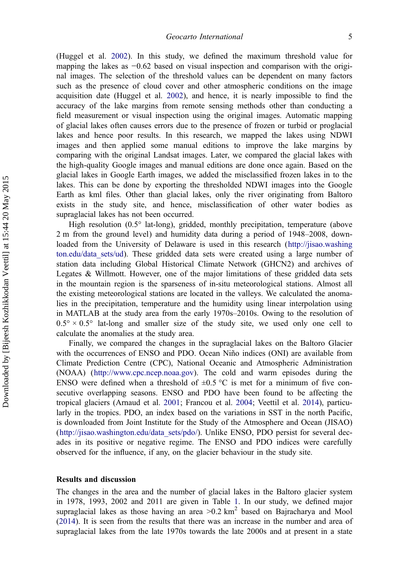(Huggel et al. [2002](#page-10-0)). In this study, we defined the maximum threshold value for mapping the lakes as −0.62 based on visual inspection and comparison with the original images. The selection of the threshold values can be dependent on many factors such as the presence of cloud cover and other atmospheric conditions on the image acquisition date (Huggel et al. [2002](#page-10-0)), and hence, it is nearly impossible to find the accuracy of the lake margins from remote sensing methods other than conducting a field measurement or visual inspection using the original images. Automatic mapping of glacial lakes often causes errors due to the presence of frozen or turbid or proglacial lakes and hence poor results. In this research, we mapped the lakes using NDWI images and then applied some manual editions to improve the lake margins by comparing with the original Landsat images. Later, we compared the glacial lakes with the high-quality Google images and manual editions are done once again. Based on the glacial lakes in Google Earth images, we added the misclassified frozen lakes in to the lakes. This can be done by exporting the thresholded NDWI images into the Google Earth as kml files. Other than glacial lakes, only the river originating from Baltoro exists in the study site, and hence, misclassification of other water bodies as supraglacial lakes has not been occurred.

High resolution (0.5° lat-long), gridded, monthly precipitation, temperature (above 2 m from the ground level) and humidity data during a period of 1948–2008, downloaded from the University of Delaware is used in this research ([http://jisao.washing](http://jisao.washington.edu/data_sets/ud) [ton.edu/data\\_sets/ud](http://jisao.washington.edu/data_sets/ud)). These gridded data sets were created using a large number of station data including Global Historical Climate Network (GHCN2) and archives of Legates & Willmott. However, one of the major limitations of these gridded data sets in the mountain region is the sparseness of in-situ meteorological stations. Almost all the existing meteorological stations are located in the valleys. We calculated the anomalies in the precipitation, temperature and the humidity using linear interpolation using in MATLAB at the study area from the early 1970s–2010s. Owing to the resolution of  $0.5^\circ \times 0.5^\circ$  lat-long and smaller size of the study site, we used only one cell to calculate the anomalies at the study area.

Finally, we compared the changes in the supraglacial lakes on the Baltoro Glacier with the occurrences of ENSO and PDO. Ocean Niño indices (ONI) are available from Climate Prediction Centre (CPC), National Oceanic and Atmospheric Administration (NOAA) ([http://www.cpc.ncep.noaa.gov\)](http://www.cpc.ncep.noaa.gov). The cold and warm episodes during the ENSO were defined when a threshold of  $\pm 0.5$  °C is met for a minimum of five consecutive overlapping seasons. ENSO and PDO have been found to be affecting the tropical glaciers (Arnaud et al. [2001](#page-9-0); Francou et al. [2004;](#page-9-0) Veettil et al. [2014](#page-10-0)), particularly in the tropics. PDO, an index based on the variations in SST in the north Pacific, is downloaded from Joint Institute for the Study of the Atmosphere and Ocean (JISAO) [\(http://jisao.washington.edu/data\\_sets/pdo/](http://jisao.washington.edu/data_sets/pdo/)). Unlike ENSO, PDO persist for several decades in its positive or negative regime. The ENSO and PDO indices were carefully observed for the influence, if any, on the glacier behaviour in the study site.

#### Results and discussion

The changes in the area and the number of glacial lakes in the Baltoro glacier system in 1978, 1993, 2002 and 2011 are given in Table [1](#page-5-0). In our study, we defined major supraglacial lakes as those having an area  $>0.2$  km<sup>2</sup> based on Bajracharya and Mool [\(2014](#page-9-0)). It is seen from the results that there was an increase in the number and area of supraglacial lakes from the late 1970s towards the late 2000s and at present in a state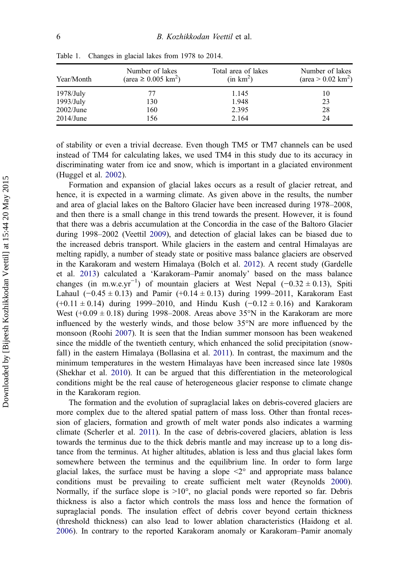| Year/Month   | Number of lakes<br>$(\text{area} \ge 0.005 \text{ km}^2)$ | Total area of lakes<br>(in km <sup>2</sup> ) | Number of lakes<br>$(\text{area} > 0.02 \text{ km}^2)$ |
|--------------|-----------------------------------------------------------|----------------------------------------------|--------------------------------------------------------|
| $1978$ /July | 77                                                        | 1.145                                        | 10                                                     |
| 1993/July    | 130                                                       | 1.948                                        | 23                                                     |
| $2002$ /June | 160                                                       | 2.395                                        | 28                                                     |
| $2014$ /June | 156                                                       | 2.164                                        | 24                                                     |

<span id="page-5-0"></span>Table 1. Changes in glacial lakes from 1978 to 2014.

of stability or even a trivial decrease. Even though TM5 or TM7 channels can be used instead of TM4 for calculating lakes, we used TM4 in this study due to its accuracy in discriminating water from ice and snow, which is important in a glaciated environment (Huggel et al. [2002](#page-10-0)).

Formation and expansion of glacial lakes occurs as a result of glacier retreat, and hence, it is expected in a warming climate. As given above in the results, the number and area of glacial lakes on the Baltoro Glacier have been increased during 1978–2008, and then there is a small change in this trend towards the present. However, it is found that there was a debris accumulation at the Concordia in the case of the Baltoro Glacier during 1998–2002 (Veettil [2009\)](#page-10-0), and detection of glacial lakes can be biased due to the increased debris transport. While glaciers in the eastern and central Himalayas are melting rapidly, a number of steady state or positive mass balance glaciers are observed in the Karakoram and western Himalaya (Bolch et al. [2012](#page-9-0)). A recent study (Gardelle et al. [2013](#page-9-0)) calculated a 'Karakoram–Pamir anomaly' based on the mass balance changes (in m.w.e.yr<sup>-1</sup>) of mountain glaciers at West Nepal (-0.32 ± 0.13), Spiti Lahaul (−0.45 ± 0.13) and Pamir (+0.14 ± 0.13) during 1999–2011, Karakoram East  $(+0.11 \pm 0.14)$  during 1999–2010, and Hindu Kush  $(-0.12 \pm 0.16)$  and Karakoram West (+0.09  $\pm$  0.18) during 1998–2008. Areas above 35°N in the Karakoram are more influenced by the westerly winds, and those below 35°N are more influenced by the monsoon (Roohi [2007](#page-10-0)). It is seen that the Indian summer monsoon has been weakened since the middle of the twentieth century, which enhanced the solid precipitation (snowfall) in the eastern Himalaya (Bollasina et al. [2011](#page-9-0)). In contrast, the maximum and the minimum temperatures in the western Himalayas have been increased since late 1980s (Shekhar et al. [2010\)](#page-10-0). It can be argued that this differentiation in the meteorological conditions might be the real cause of heterogeneous glacier response to climate change in the Karakoram region.

The formation and the evolution of supraglacial lakes on debris-covered glaciers are more complex due to the altered spatial pattern of mass loss. Other than frontal recession of glaciers, formation and growth of melt water ponds also indicates a warming climate (Scherler et al. [2011\)](#page-10-0). In the case of debris-covered glaciers, ablation is less towards the terminus due to the thick debris mantle and may increase up to a long distance from the terminus. At higher altitudes, ablation is less and thus glacial lakes form somewhere between the terminus and the equilibrium line. In order to form large glacial lakes, the surface must be having a slope  $\langle 2^{\circ} \rangle$  and appropriate mass balance conditions must be prevailing to create sufficient melt water (Reynolds [2000](#page-10-0)). Normally, if the surface slope is  $>10^{\circ}$ , no glacial ponds were reported so far. Debris thickness is also a factor which controls the mass loss and hence the formation of supraglacial ponds. The insulation effect of debris cover beyond certain thickness (threshold thickness) can also lead to lower ablation characteristics (Haidong et al. [2006\)](#page-9-0). In contrary to the reported Karakoram anomaly or Karakoram–Pamir anomaly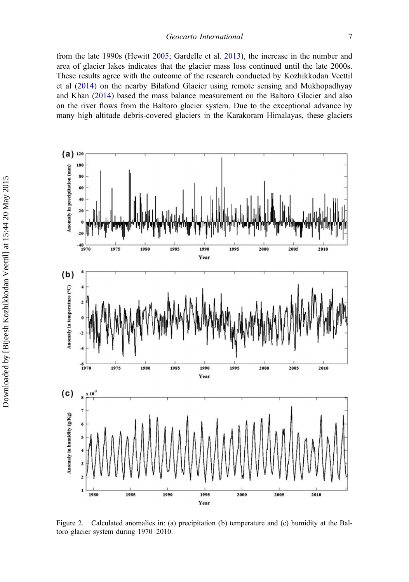<span id="page-6-0"></span>from the late 1990s (Hewitt [2005;](#page-9-0) Gardelle et al. [2013\)](#page-9-0), the increase in the number and area of glacier lakes indicates that the glacier mass loss continued until the late 2000s. These results agree with the outcome of the research conducted by Kozhikkodan Veettil et al [\(2014](#page-10-0)) on the nearby Bilafond Glacier using remote sensing and Mukhopadhyay and Khan [\(2014](#page-10-0)) based the mass balance measurement on the Baltoro Glacier and also on the river flows from the Baltoro glacier system. Due to the exceptional advance by many high altitude debris-covered glaciers in the Karakoram Himalayas, these glaciers



Figure 2. Calculated anomalies in: (a) precipitation (b) temperature and (c) humidity at the Baltoro glacier system during 1970–2010.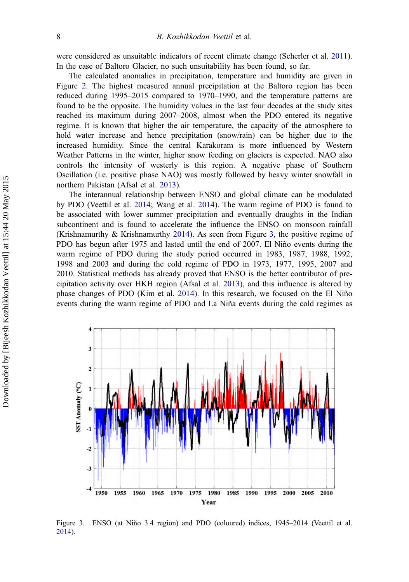were considered as unsuitable indicators of recent climate change (Scherler et al. [2011](#page-10-0)). In the case of Baltoro Glacier, no such unsuitability has been found, so far.

The calculated anomalies in precipitation, temperature and humidity are given in Figure [2.](#page-6-0) The highest measured annual precipitation at the Baltoro region has been reduced during 1995–2015 compared to 1970–1990, and the temperature patterns are found to be the opposite. The humidity values in the last four decades at the study sites reached its maximum during 2007–2008, almost when the PDO entered its negative regime. It is known that higher the air temperature, the capacity of the atmosphere to hold water increase and hence precipitation (snow/rain) can be higher due to the increased humidity. Since the central Karakoram is more influenced by Western Weather Patterns in the winter, higher snow feeding on glaciers is expected. NAO also controls the intensity of westerly is this region. A negative phase of Southern Oscillation (i.e. positive phase NAO) was mostly followed by heavy winter snowfall in northern Pakistan (Afsal et al. [2013\)](#page-9-0).

The interannual relationship between ENSO and global climate can be modulated by PDO (Veettil et al. [2014;](#page-10-0) Wang et al. [2014](#page-10-0)). The warm regime of PDO is found to be associated with lower summer precipitation and eventually draughts in the Indian subcontinent and is found to accelerate the influence the ENSO on monsoon rainfall (Krishnamurthy & Krishnamurthy [2014\)](#page-10-0). As seen from Figure 3, the positive regime of PDO has begun after 1975 and lasted until the end of 2007. El Niño events during the warm regime of PDO during the study period occurred in 1983, 1987, 1988, 1992, 1998 and 2003 and during the cold regime of PDO in 1973, 1977, 1995, 2007 and 2010. Statistical methods has already proved that ENSO is the better contributor of precipitation activity over HKH region (Afsal et al. [2013](#page-9-0)), and this influence is altered by phase changes of PDO (Kim et al. [2014\)](#page-10-0). In this research, we focused on the El Niño events during the warm regime of PDO and La Niña events during the cold regimes as



Figure 3. ENSO (at Niño 3.4 region) and PDO (coloured) indices, 1945–2014 (Veettil et al. [2014\)](#page-10-0).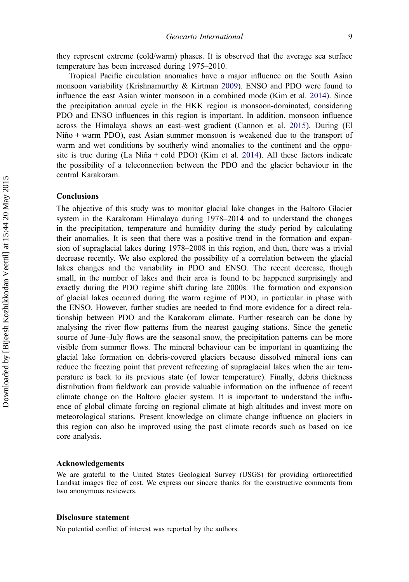they represent extreme (cold/warm) phases. It is observed that the average sea surface temperature has been increased during 1975–2010.

Tropical Pacific circulation anomalies have a major influence on the South Asian monsoon variability (Krishnamurthy & Kirtman [2009](#page-10-0)). ENSO and PDO were found to influence the east Asian winter monsoon in a combined mode (Kim et al. [2014\)](#page-10-0). Since the precipitation annual cycle in the HKK region is monsoon-dominated, considering PDO and ENSO influences in this region is important. In addition, monsoon influence across the Himalaya shows an east–west gradient (Cannon et al. [2015](#page-9-0)). During (El Niño + warm PDO), east Asian summer monsoon is weakened due to the transport of warm and wet conditions by southerly wind anomalies to the continent and the opposite is true during  $(La Niña + cold PDO)$  (Kim et al. [2014](#page-10-0)). All these factors indicate the possibility of a teleconnection between the PDO and the glacier behaviour in the central Karakoram.

#### Conclusions

The objective of this study was to monitor glacial lake changes in the Baltoro Glacier system in the Karakoram Himalaya during 1978–2014 and to understand the changes in the precipitation, temperature and humidity during the study period by calculating their anomalies. It is seen that there was a positive trend in the formation and expansion of supraglacial lakes during 1978–2008 in this region, and then, there was a trivial decrease recently. We also explored the possibility of a correlation between the glacial lakes changes and the variability in PDO and ENSO. The recent decrease, though small, in the number of lakes and their area is found to be happened surprisingly and exactly during the PDO regime shift during late 2000s. The formation and expansion of glacial lakes occurred during the warm regime of PDO, in particular in phase with the ENSO. However, further studies are needed to find more evidence for a direct relationship between PDO and the Karakoram climate. Further research can be done by analysing the river flow patterns from the nearest gauging stations. Since the genetic source of June–July flows are the seasonal snow, the precipitation patterns can be more visible from summer flows. The mineral behaviour can be important in quantizing the glacial lake formation on debris-covered glaciers because dissolved mineral ions can reduce the freezing point that prevent refreezing of supraglacial lakes when the air temperature is back to its previous state (of lower temperature). Finally, debris thickness distribution from fieldwork can provide valuable information on the influence of recent climate change on the Baltoro glacier system. It is important to understand the influence of global climate forcing on regional climate at high altitudes and invest more on meteorological stations. Present knowledge on climate change influence on glaciers in this region can also be improved using the past climate records such as based on ice core analysis.

#### Acknowledgements

We are grateful to the United States Geological Survey (USGS) for providing orthorectified Landsat images free of cost. We express our sincere thanks for the constructive comments from two anonymous reviewers.

#### Disclosure statement

No potential conflict of interest was reported by the authors.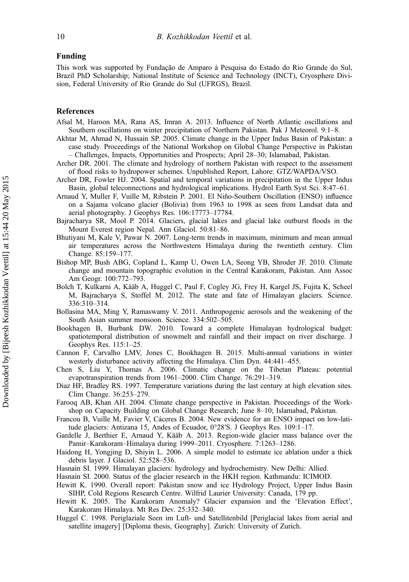### <span id="page-9-0"></span>Funding

This work was supported by Fundação de Amparo à Pesquisa do Estado do Rio Grande do Sul, Brazil PhD Scholarship; National Institute of Science and Technology (INCT), Cryosphere Division, Federal University of Rio Grande do Sul (UFRGS), Brazil.

#### References

- Afsal M, Haroon MA, Rana AS, Imran A. 2013. Influence of North Atlantic oscillations and Southern oscillations on winter precipitation of Northern Pakistan. Pak J Meteorol. 9:1–8.
- Akhtar M, Ahmad N, Hussain SP. 2005. Climate change in the Upper Indus Basin of Pakistan: a case study. Proceedings of the National Workshop on Global Change Perspective in Pakistan – Challenges, Impacts, Opportunities and Prospects; April 28–30; Islamabad, Pakistan.
- Archer DR. 2001. The climate and hydrology of northern Pakistan with respect to the assessment of flood risks to hydropower schemes. Unpublished Report, Lahore: GTZ/WAPDA/VSO.
- Archer DR, Fowler HJ. 2004. Spatial and temporal variations in precipitation in the Upper Indus Basin, global teleconnections and hydrological implications. Hydrol Earth Syst Sci. 8:47–61.
- Arnaud Y, Muller F, Vuille M, Ribstein P. 2001. El Niño-Southern Oscillation (ENSO) influence on a Sajama volcano glacier (Bolivia) from 1963 to 1998 as seen from Landsat data and aerial photography. J Geophys Res. 106:17773–17784.
- Bajracharya SR, Mool P. 2014. Glaciers, glacial lakes and glacial lake outburst floods in the Mount Everest region Nepal. Ann Glaciol. 50:81–86.
- Bhutiyani M, Kale V, Pawar N. 2007. Long-term trends in maximum, minimum and mean annual air temperatures across the Northwestern Himalaya during the twentieth century. Clim Change. 85:159–177.
- Bishop MP, Bush ABG, Copland L, Kamp U, Owen LA, Seong YB, Shroder JF. 2010. Climate change and mountain topographic evolution in the Central Karakoram, Pakistan. Ann Assoc Am Geogr. 100:772–793.
- Bolch T, Kulkarni A, Kääb A, Huggel C, Paul F, Cogley JG, Frey H, Kargel JS, Fujita K, Scheel M, Bajracharya S, Stoffel M. 2012. The state and fate of Himalayan glaciers. Science. 336:310–314.
- Bollasina MA, Ming Y, Ramaswamy V. 2011. Anthropogenic aerosols and the weakening of the South Asian summer monsoon. Science. 334:502–505.
- Bookhagen B, Burbank DW. 2010. Toward a complete Himalayan hydrological budget: spatiotemporal distribution of snowmelt and rainfall and their impact on river discharge. J Geophys Res. 115:1–25.
- Cannon F, Carvalho LMV, Jones C, Bookhagen B. 2015. Multi-annual variations in winter westerly disturbance activity affecting the Himalaya. Clim Dyn. 44:441–455.
- Chen S, Liu Y, Thomas A. 2006. Climatic change on the Tibetan Plateau: potential evapotranspiration trends from 1961–2000. Clim Change. 76:291–319.
- Diaz HF, Bradley RS. 1997. Temperature variations during the last century at high elevation sites. Clim Change. 36:253–279.
- Farooq AB, Khan AH. 2004. Climate change perspective in Pakistan. Proceedings of the Workshop on Capacity Building on Global Change Research; June 8–10; Islamabad, Pakistan.
- Francou B, Vuille M, Favier V, Cáceres B. 2004. New evidence for an ENSO impact on low-latitude glaciers: Antizana 15, Andes of Ecuador, 0°28′S. J Geophys Res. 109:1–17.
- Gardelle J, Berthier E, Arnaud Y, Kääb A. 2013. Region-wide glacier mass balance over the Pamir–Karakoram–Himalaya during 1999–2011. Cryosphere. 7:1263–1286.
- Haidong H, Yongjing D, Shiyin L. 2006. A simple model to estimate ice ablation under a thick debris layer. J Glaciol. 52:528–536.
- Hasnain SI. 1999. Himalayan glaciers: hydrology and hydrochemistry. New Delhi: Allied.
- Hasnain SI. 2000. Status of the glacier research in the HKH region. Kathmandu: ICIMOD.
- Hewitt K. 1990. Overall report: Pakistan snow and ice Hydrology Project, Upper Indus Basin SIHP, Cold Regions Research Centre. Wilfrid Laurier University: Canada, 179 pp.
- Hewitt K. 2005. The Karakoram Anomaly? Glacier expansion and the 'Elevation Effect', Karakoram Himalaya. Mt Res Dev. 25:332–340.
- Huggel C. 1998. Periglaziale Seen im Luft- und Satellitenbild [Periglacial lakes from aerial and satellite imagery] [Diploma thesis, Geography]. Zurich: University of Zurich.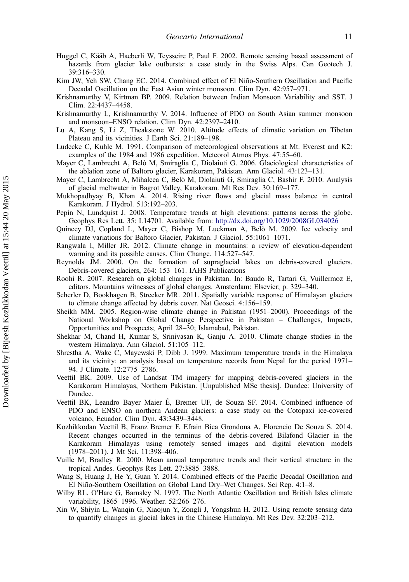- <span id="page-10-0"></span>Huggel C, Kääb A, Haeberli W, Teysseire P, Paul F. 2002. Remote sensing based assessment of hazards from glacier lake outbursts: a case study in the Swiss Alps. Can Geotech J. 39:316–330.
- Kim JW, Yeh SW, Chang EC. 2014. Combined effect of El Niño-Southern Oscillation and Pacific Decadal Oscillation on the East Asian winter monsoon. Clim Dyn. 42:957–971.
- Krishnamurthy V, Kirtman BP. 2009. Relation between Indian Monsoon Variability and SST. J Clim. 22:4437–4458.
- Krishnamurthy L, Krishnamurthy V. 2014. Influence of PDO on South Asian summer monsoon and monsoon–ENSO relation. Clim Dyn. 42:2397–2410.
- Lu A, Kang S, Li Z, Theakstone W. 2010. Altitude effects of climatic variation on Tibetan Plateau and its vicinities. J Earth Sci. 21:189–198.
- Ludecke C, Kuhle M. 1991. Comparison of meteorological observations at Mt. Everest and K2: examples of the 1984 and 1986 expedition. Meteorol Atmos Phys. 47:55–60.
- Mayer C, Lambrecht A, Belò M, Smiraglia C, Diolaiuti G. 2006. Glaciological characteristics of the ablation zone of Baltoro glacier, Karakoram, Pakistan. Ann Glaciol. 43:123–131.
- Mayer C, Lambrecht A, Mihalcea C, Belò M, Diolaiuti G, Smiraglia C, Bashir F. 2010. Analysis of glacial meltwater in Bagrot Valley, Karakoram. Mt Res Dev. 30:169–177.
- Mukhopadhyay B, Khan A. 2014. Rising river flows and glacial mass balance in central Karakoram. J Hydrol. 513:192–203.
- Pepin N, Lundquist J. 2008. Temperature trends at high elevations: patterns across the globe. Geophys Res Lett. 35: L14701. Available from: <http://dx.doi.org/10.1029/2008GL034026>
- Quincey DJ, Copland L, Mayer C, Bishop M, Luckman A, Belò M. 2009. Ice velocity and climate variations for Baltoro Glacier, Pakistan. J Glaciol. 55:1061–1071.
- Rangwala I, Miller JR. 2012. Climate change in mountains: a review of elevation-dependent warming and its possible causes. Clim Change. 114:527–547.
- Reynolds JM. 2000. On the formation of supraglacial lakes on debris-covered glaciers. Debris-covered glaciers, 264: 153–161. IAHS Publications
- Roohi R. 2007. Research on global changes in Pakistan. In: Baudo R, Tartari G, Vuillermoz E, editors. Mountains witnesses of global changes. Amsterdam: Elsevier; p. 329–340.
- Scherler D, Bookhagen B, Strecker MR. 2011. Spatially variable response of Himalayan glaciers to climate change affected by debris cover. Nat Geosci. 4:156–159.
- Sheikh MM. 2005. Region-wise climate change in Pakistan (1951–2000). Proceedings of the National Workshop on Global Change Perspective in Pakistan – Challenges, Impacts, Opportunities and Prospects; April 28–30; Islamabad, Pakistan.
- Shekhar M, Chand H, Kumar S, Srinivasan K, Ganju A. 2010. Climate change studies in the western Himalaya. Ann Glaciol. 51:105–112.
- Shrestha A, Wake C, Mayewski P, Dibb J. 1999. Maximum temperature trends in the Himalaya and its vicinity: an analysis based on temperature records from Nepal for the period 1971– 94. J Climate. 12:2775–2786.
- Veettil BK. 2009. Use of Landsat TM imagery for mapping debris-covered glaciers in the Karakoram Himalayas, Northern Pakistan. [Unpublished MSc thesis]. Dundee: University of Dundee.
- Veettil BK, Leandro Bayer Maier É, Bremer UF, de Souza SF. 2014. Combined influence of PDO and ENSO on northern Andean glaciers: a case study on the Cotopaxi ice-covered volcano, Ecuador. Clim Dyn. 43:3439–3448.
- Kozhikkodan Veettil B, Franz Bremer F, Efrain Bica Grondona A, Florencio De Souza S. 2014. Recent changes occurred in the terminus of the debris-covered Bilafond Glacier in the Karakoram Himalayas using remotely sensed images and digital elevation models (1978–2011). J Mt Sci. 11:398–406.
- Vuille M, Bradley R. 2000. Mean annual temperature trends and their vertical structure in the tropical Andes. Geophys Res Lett. 27:3885–3888.
- Wang S, Huang J, He Y, Guan Y. 2014. Combined effects of the Pacific Decadal Oscillation and El Niño-Southern Oscillation on Global Land Dry–Wet Changes. Sci Rep. 4:1–8.
- Wilby RL, O′Hare G, Barnsley N. 1997. The North Atlantic Oscillation and British Isles climate variability, 1865–1996. Weather. 52:266–276.
- Xin W, Shiyin L, Wanqin G, Xiaojun Y, Zongli J, Yongshun H. 2012. Using remote sensing data to quantify changes in glacial lakes in the Chinese Himalaya. Mt Res Dev. 32:203–212.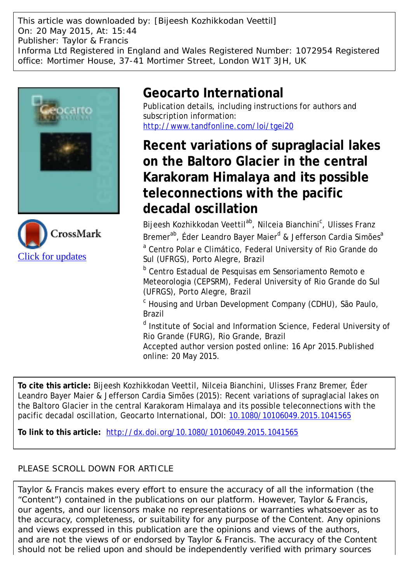This article was downloaded by: [Bijeesh Kozhikkodan Veettil] On: 20 May 2015, At: 15:44 Publisher: Taylor & Francis Informa Ltd Registered in England and Wales Registered Number: 1072954 Registered office: Mortimer House, 37-41 Mortimer Street, London W1T 3JH, UK





# **Geocarto International**

Publication details, including instructions for authors and subscription information: <http://www.tandfonline.com/loi/tgei20>

**Recent variations of supraglacial lakes on the Baltoro Glacier in the central Karakoram Himalaya and its possible teleconnections with the pacific decadal oscillation**

Bijeesh Kozhikkodan Veettil<sup>ab</sup>, Nilceia Bianchini<sup>c</sup>, Ulisses Franz Bremer<sup>ab</sup>, Éder Leandro Bayer Maier<sup>d</sup> & Jefferson Cardia Simões<sup>a</sup> <sup>a</sup> Centro Polar e Climático, Federal University of Rio Grande do Sul (UFRGS), Porto Alegre, Brazil

**<sup>b</sup> Centro Estadual de Pesquisas em Sensoriamento Remoto e** Meteorologia (CEPSRM), Federal University of Rio Grande do Sul (UFRGS), Porto Alegre, Brazil

<sup>c</sup> Housing and Urban Development Company (CDHU), São Paulo, Brazil

<sup>d</sup> Institute of Social and Information Science, Federal University of Rio Grande (FURG), Rio Grande, Brazil

Accepted author version posted online: 16 Apr 2015.Published online: 20 May 2015.

**To cite this article:** Bijeesh Kozhikkodan Veettil, Nilceia Bianchini, Ulisses Franz Bremer, Éder Leandro Bayer Maier & Jefferson Cardia Simões (2015): Recent variations of supraglacial lakes on the Baltoro Glacier in the central Karakoram Himalaya and its possible teleconnections with the pacific decadal oscillation, Geocarto International, DOI: [10.1080/10106049.2015.1041565](http://www.tandfonline.com/action/showCitFormats?doi=10.1080/10106049.2015.1041565)

**To link to this article:** <http://dx.doi.org/10.1080/10106049.2015.1041565>

## PLEASE SCROLL DOWN FOR ARTICLE

Taylor & Francis makes every effort to ensure the accuracy of all the information (the "Content") contained in the publications on our platform. However, Taylor & Francis, our agents, and our licensors make no representations or warranties whatsoever as to the accuracy, completeness, or suitability for any purpose of the Content. Any opinions and views expressed in this publication are the opinions and views of the authors, and are not the views of or endorsed by Taylor & Francis. The accuracy of the Content should not be relied upon and should be independently verified with primary sources